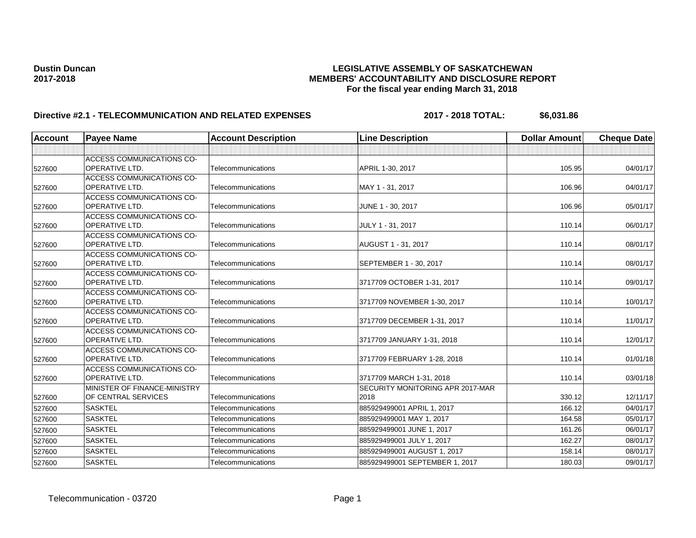# **Dustin Duncan LEGISLATIVE ASSEMBLY OF SASKATCHEWAN 2017-2018 MEMBERS' ACCOUNTABILITY AND DISCLOSURE REPORT For the fiscal year ending March 31, 2018**

# **Directive #2.1 - TELECOMMUNICATION AND RELATED EXPENSES** 2017 - 2018 TOTAL: \$6,031.86

| <b>Account</b> | <b>Payee Name</b>                | <b>Account Description</b> | <b>Line Description</b>          | <b>Dollar Amount</b> | <b>Cheque Date</b> |
|----------------|----------------------------------|----------------------------|----------------------------------|----------------------|--------------------|
|                |                                  |                            |                                  |                      |                    |
|                | <b>ACCESS COMMUNICATIONS CO-</b> |                            |                                  |                      |                    |
| 527600         | <b>OPERATIVE LTD.</b>            | Telecommunications         | APRIL 1-30, 2017                 | 105.95               | 04/01/17           |
|                | <b>ACCESS COMMUNICATIONS CO-</b> |                            |                                  |                      |                    |
| 527600         | <b>OPERATIVE LTD.</b>            | Telecommunications         | MAY 1 - 31, 2017                 | 106.96               | 04/01/17           |
|                | <b>ACCESS COMMUNICATIONS CO-</b> |                            |                                  |                      |                    |
| 527600         | <b>OPERATIVE LTD.</b>            | Telecommunications         | JUNE 1 - 30, 2017                | 106.96               | 05/01/17           |
|                | <b>ACCESS COMMUNICATIONS CO-</b> |                            |                                  |                      |                    |
| 527600         | <b>OPERATIVE LTD.</b>            | Telecommunications         | JULY 1 - 31, 2017                | 110.14               | 06/01/17           |
|                | <b>ACCESS COMMUNICATIONS CO-</b> |                            |                                  |                      |                    |
| 527600         | <b>OPERATIVE LTD.</b>            | Telecommunications         | AUGUST 1 - 31, 2017              | 110.14               | 08/01/17           |
|                | <b>ACCESS COMMUNICATIONS CO-</b> |                            |                                  |                      |                    |
| 527600         | <b>OPERATIVE LTD.</b>            | Telecommunications         | SEPTEMBER 1 - 30, 2017           | 110.14               | 08/01/17           |
|                | <b>ACCESS COMMUNICATIONS CO-</b> |                            |                                  |                      |                    |
| 527600         | OPERATIVE LTD.                   | Telecommunications         | 3717709 OCTOBER 1-31, 2017       | 110.14               | 09/01/17           |
|                | <b>ACCESS COMMUNICATIONS CO-</b> |                            |                                  |                      |                    |
| 527600         | OPERATIVE LTD.                   | Telecommunications         | 3717709 NOVEMBER 1-30, 2017      | 110.14               | 10/01/17           |
|                | <b>ACCESS COMMUNICATIONS CO-</b> |                            |                                  |                      |                    |
| 527600         | <b>OPERATIVE LTD.</b>            | Telecommunications         | 3717709 DECEMBER 1-31, 2017      | 110.14               | 11/01/17           |
|                | <b>ACCESS COMMUNICATIONS CO-</b> |                            |                                  |                      |                    |
| 527600         | <b>OPERATIVE LTD.</b>            | Telecommunications         | 3717709 JANUARY 1-31, 2018       | 110.14               | 12/01/17           |
|                | <b>ACCESS COMMUNICATIONS CO-</b> |                            |                                  |                      |                    |
| 527600         | <b>OPERATIVE LTD.</b>            | Telecommunications         | 3717709 FEBRUARY 1-28, 2018      | 110.14               | 01/01/18           |
|                | <b>ACCESS COMMUNICATIONS CO-</b> |                            |                                  |                      |                    |
| 527600         | <b>OPERATIVE LTD.</b>            | Telecommunications         | 3717709 MARCH 1-31, 2018         | 110.14               | 03/01/18           |
|                | MINISTER OF FINANCE-MINISTRY     |                            | SECURITY MONITORING APR 2017-MAR |                      |                    |
| 527600         | OF CENTRAL SERVICES              | Telecommunications         | 2018                             | 330.12               | 12/11/17           |
| 527600         | <b>SASKTEL</b>                   | Telecommunications         | 885929499001 APRIL 1, 2017       | 166.12               | 04/01/17           |
| 527600         | <b>SASKTEL</b>                   | Telecommunications         | 885929499001 MAY 1, 2017         | 164.58               | 05/01/17           |
| 527600         | <b>SASKTEL</b>                   | Telecommunications         | 885929499001 JUNE 1, 2017        | 161.26               | 06/01/17           |
| 527600         | <b>SASKTEL</b>                   | <b>Telecommunications</b>  | 885929499001 JULY 1, 2017        | 162.27               | 08/01/17           |
| 527600         | <b>SASKTEL</b>                   | Telecommunications         | 885929499001 AUGUST 1, 2017      | 158.14               | 08/01/17           |
| 527600         | <b>SASKTEL</b>                   | Telecommunications         | 885929499001 SEPTEMBER 1, 2017   | 180.03               | 09/01/17           |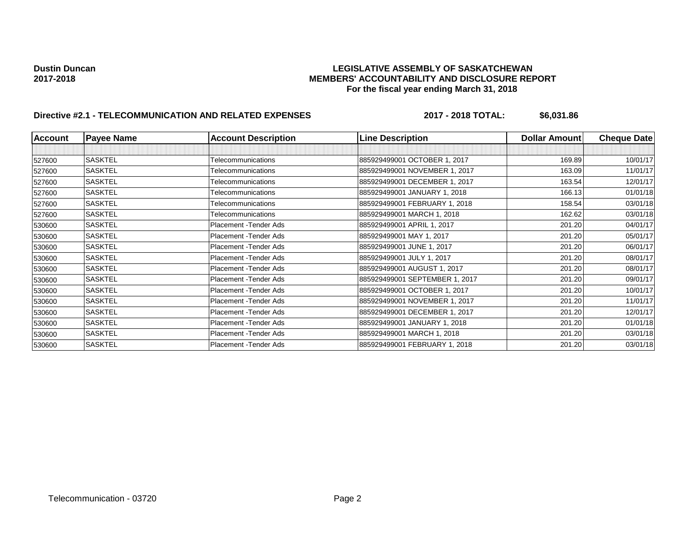## **Dustin Duncan LEGISLATIVE ASSEMBLY OF SASKATCHEWAN 2017-2018 MEMBERS' ACCOUNTABILITY AND DISCLOSURE REPORT For the fiscal year ending March 31, 2018**

# **Directive #2.1 - TELECOMMUNICATION AND RELATED EXPENSES** 2017 - 2018 TOTAL: \$6,031.86

| <b>Account</b> | <b>Payee Name</b> | <b>Account Description</b> | <b>Line Description</b>        | Dollar Amount | <b>Cheque Date</b> |
|----------------|-------------------|----------------------------|--------------------------------|---------------|--------------------|
|                |                   |                            |                                |               |                    |
| 527600         | <b>SASKTEL</b>    | Telecommunications         | 885929499001 OCTOBER 1, 2017   | 169.89        | 10/01/17           |
| 527600         | <b>SASKTEL</b>    | Telecommunications         | 885929499001 NOVEMBER 1, 2017  | 163.09        | 11/01/17           |
| 527600         | <b>SASKTEL</b>    | Telecommunications         | 885929499001 DECEMBER 1, 2017  | 163.54        | 12/01/17           |
| 527600         | <b>SASKTEL</b>    | Telecommunications         | 885929499001 JANUARY 1, 2018   | 166.13        | 01/01/18           |
| 527600         | <b>SASKTEL</b>    | Telecommunications         | 885929499001 FEBRUARY 1, 2018  | 158.54        | 03/01/18           |
| 527600         | SASKTEL           | Telecommunications         | 885929499001 MARCH 1, 2018     | 162.62        | 03/01/18           |
| 530600         | <b>SASKTEL</b>    | Placement - Tender Ads     | 885929499001 APRIL 1, 2017     | 201.20        | 04/01/17           |
| 530600         | <b>SASKTEL</b>    | Placement - Tender Ads     | 885929499001 MAY 1, 2017       | 201.20        | 05/01/17           |
| 530600         | <b>SASKTEL</b>    | Placement - Tender Ads     | 885929499001 JUNE 1, 2017      | 201.20        | 06/01/17           |
| 530600         | <b>SASKTEL</b>    | Placement - Tender Ads     | 885929499001 JULY 1, 2017      | 201.20        | 08/01/17           |
| 530600         | <b>SASKTEL</b>    | Placement - Tender Ads     | 885929499001 AUGUST 1, 2017    | 201.20        | 08/01/17           |
| 530600         | <b>SASKTEL</b>    | Placement - Tender Ads     | 885929499001 SEPTEMBER 1, 2017 | 201.20        | 09/01/17           |
| 530600         | <b>SASKTEL</b>    | Placement - Tender Ads     | 885929499001 OCTOBER 1, 2017   | 201.20        | 10/01/17           |
| 530600         | <b>SASKTEL</b>    | Placement - Tender Ads     | 885929499001 NOVEMBER 1, 2017  | 201.20        | 11/01/17           |
| 530600         | <b>SASKTEL</b>    | Placement - Tender Ads     | 885929499001 DECEMBER 1, 2017  | 201.20        | 12/01/17           |
| 530600         | <b>SASKTEL</b>    | Placement - Tender Ads     | 885929499001 JANUARY 1, 2018   | 201.20        | 01/01/18           |
| 530600         | <b>SASKTEL</b>    | Placement - Tender Ads     | 885929499001 MARCH 1, 2018     | 201.20        | 03/01/18           |
| 530600         | <b>SASKTEL</b>    | Placement - Tender Ads     | 885929499001 FEBRUARY 1, 2018  | 201.20        | 03/01/18           |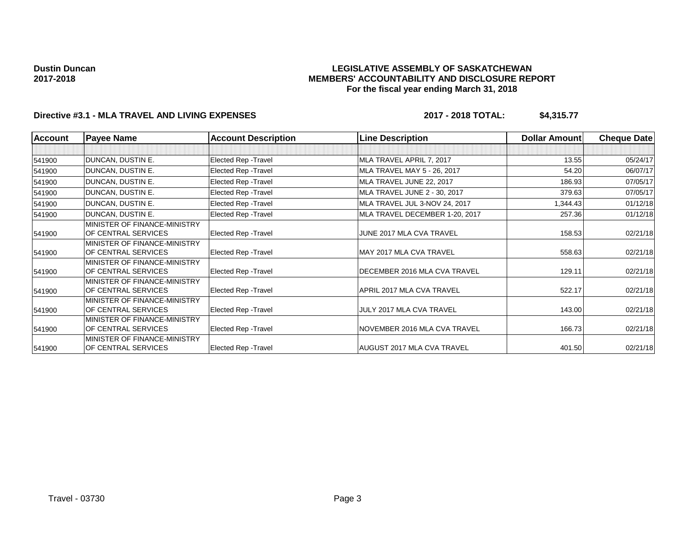## **LEGISLATIVE ASSEMBLY OF SASKATCHEWAN MEMBERS' ACCOUNTABILITY AND DISCLOSURE REPORT For the fiscal year ending March 31, 2018**

# **Directive #3.1 - MLA TRAVEL AND LIVING EXPENSES 2017 - 2018 TOTAL: \$4,315.77**

| <b>Account</b> | <b>Payee Name</b>            | <b>Account Description</b>  | <b>Line Description</b>        | <b>Dollar Amount</b> | <b>Cheque Date</b> |
|----------------|------------------------------|-----------------------------|--------------------------------|----------------------|--------------------|
|                |                              |                             |                                |                      |                    |
| 541900         | <b>DUNCAN, DUSTIN E.</b>     | Elected Rep - Travel        | MLA TRAVEL APRIL 7, 2017       | 13.55                | 05/24/17           |
| 541900         | DUNCAN, DUSTIN E.            | Elected Rep - Travel        | MLA TRAVEL MAY 5 - 26, 2017    | 54.20                | 06/07/17           |
| 541900         | DUNCAN, DUSTIN E.            | Elected Rep - Travel        | MLA TRAVEL JUNE 22, 2017       | 186.93               | 07/05/17           |
| 541900         | DUNCAN, DUSTIN E.            | Elected Rep - Travel        | MLA TRAVEL JUNE 2 - 30, 2017   | 379.63               | 07/05/17           |
| 541900         | DUNCAN, DUSTIN E.            | Elected Rep - Travel        | MLA TRAVEL JUL 3-NOV 24, 2017  | 1,344.43             | 01/12/18           |
| 541900         | DUNCAN, DUSTIN E.            | Elected Rep - Travel        | MLA TRAVEL DECEMBER 1-20, 2017 | 257.36               | 01/12/18           |
|                | MINISTER OF FINANCE-MINISTRY |                             |                                |                      |                    |
| 541900         | OF CENTRAL SERVICES          | Elected Rep - Travel        | JUNE 2017 MLA CVA TRAVEL       | 158.53               | 02/21/18           |
|                | MINISTER OF FINANCE-MINISTRY |                             |                                |                      |                    |
| 541900         | OF CENTRAL SERVICES          | Elected Rep - Travel        | MAY 2017 MLA CVA TRAVEL        | 558.63               | 02/21/18           |
|                | MINISTER OF FINANCE-MINISTRY |                             |                                |                      |                    |
| 541900         | OF CENTRAL SERVICES          | <b>Elected Rep - Travel</b> | DECEMBER 2016 MLA CVA TRAVEL   | 129.11               | 02/21/18           |
|                | MINISTER OF FINANCE-MINISTRY |                             |                                |                      |                    |
| 541900         | OF CENTRAL SERVICES          | Elected Rep - Travel        | APRIL 2017 MLA CVA TRAVEL      | 522.17               | 02/21/18           |
|                | MINISTER OF FINANCE-MINISTRY |                             |                                |                      |                    |
| 541900         | OF CENTRAL SERVICES          | Elected Rep - Travel        | JULY 2017 MLA CVA TRAVEL       | 143.00               | 02/21/18           |
|                | MINISTER OF FINANCE-MINISTRY |                             |                                |                      |                    |
| 541900         | OF CENTRAL SERVICES          | Elected Rep - Travel        | NOVEMBER 2016 MLA CVA TRAVEL   | 166.73               | 02/21/18           |
|                | MINISTER OF FINANCE-MINISTRY |                             |                                |                      |                    |
| 541900         | OF CENTRAL SERVICES          | Elected Rep - Travel        | AUGUST 2017 MLA CVA TRAVEL     | 401.50               | 02/21/18           |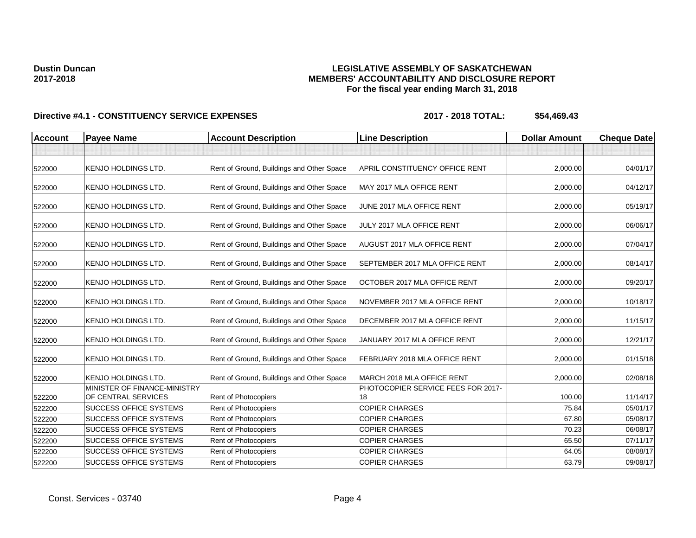## **LEGISLATIVE ASSEMBLY OF SASKATCHEWAN MEMBERS' ACCOUNTABILITY AND DISCLOSURE REPORT For the fiscal year ending March 31, 2018**

| <b>Account</b> | <b>Payee Name</b>                                   | <b>Account Description</b>                | <b>Line Description</b>                  | <b>Dollar Amount</b> | <b>Cheque Date</b> |
|----------------|-----------------------------------------------------|-------------------------------------------|------------------------------------------|----------------------|--------------------|
|                |                                                     |                                           |                                          |                      |                    |
| 522000         | <b>KENJO HOLDINGS LTD.</b>                          | Rent of Ground, Buildings and Other Space | APRIL CONSTITUENCY OFFICE RENT           | 2.000.00             | 04/01/17           |
| 522000         | <b>KENJO HOLDINGS LTD.</b>                          | Rent of Ground, Buildings and Other Space | MAY 2017 MLA OFFICE RENT                 | 2,000.00             | 04/12/17           |
| 522000         | KENJO HOLDINGS LTD.                                 | Rent of Ground, Buildings and Other Space | JUNE 2017 MLA OFFICE RENT                | 2,000.00             | 05/19/17           |
| 522000         | <b>KENJO HOLDINGS LTD.</b>                          | Rent of Ground, Buildings and Other Space | JULY 2017 MLA OFFICE RENT                | 2,000.00             | 06/06/17           |
| 522000         | <b>KENJO HOLDINGS LTD.</b>                          | Rent of Ground, Buildings and Other Space | AUGUST 2017 MLA OFFICE RENT              | 2,000.00             | 07/04/17           |
| 522000         | <b>KENJO HOLDINGS LTD.</b>                          | Rent of Ground, Buildings and Other Space | SEPTEMBER 2017 MLA OFFICE RENT           | 2,000.00             | 08/14/17           |
| 522000         | <b>KENJO HOLDINGS LTD.</b>                          | Rent of Ground, Buildings and Other Space | OCTOBER 2017 MLA OFFICE RENT             | 2,000.00             | 09/20/17           |
| 522000         | <b>KENJO HOLDINGS LTD.</b>                          | Rent of Ground, Buildings and Other Space | NOVEMBER 2017 MLA OFFICE RENT            | 2,000.00             | 10/18/17           |
| 522000         | <b>KENJO HOLDINGS LTD.</b>                          | Rent of Ground, Buildings and Other Space | DECEMBER 2017 MLA OFFICE RENT            | 2,000.00             | 11/15/17           |
| 522000         | <b>KENJO HOLDINGS LTD.</b>                          | Rent of Ground, Buildings and Other Space | JANUARY 2017 MLA OFFICE RENT             | 2,000.00             | 12/21/17           |
| 522000         | <b>KENJO HOLDINGS LTD.</b>                          | Rent of Ground, Buildings and Other Space | FEBRUARY 2018 MLA OFFICE RENT            | 2,000.00             | 01/15/18           |
| 522000         | <b>KENJO HOLDINGS LTD.</b>                          | Rent of Ground, Buildings and Other Space | MARCH 2018 MLA OFFICE RENT               | 2,000.00             | 02/08/18           |
| 522200         | MINISTER OF FINANCE-MINISTRY<br>OF CENTRAL SERVICES | Rent of Photocopiers                      | PHOTOCOPIER SERVICE FEES FOR 2017-<br>18 | 100.00               | 11/14/17           |
| 522200         | <b>SUCCESS OFFICE SYSTEMS</b>                       | Rent of Photocopiers                      | <b>COPIER CHARGES</b>                    | 75.84                | 05/01/17           |
| 522200         | <b>SUCCESS OFFICE SYSTEMS</b>                       | Rent of Photocopiers                      | <b>COPIER CHARGES</b>                    | 67.80                | 05/08/17           |
| 522200         | <b>SUCCESS OFFICE SYSTEMS</b>                       | Rent of Photocopiers                      | <b>COPIER CHARGES</b>                    | 70.23                | 06/08/17           |
| 522200         | <b>SUCCESS OFFICE SYSTEMS</b>                       | Rent of Photocopiers                      | <b>COPIER CHARGES</b>                    | 65.50                | 07/11/17           |
| 522200         | <b>SUCCESS OFFICE SYSTEMS</b>                       | Rent of Photocopiers                      | <b>COPIER CHARGES</b>                    | 64.05                | 08/08/17           |
| 522200         | <b>SUCCESS OFFICE SYSTEMS</b>                       | Rent of Photocopiers                      | <b>COPIER CHARGES</b>                    | 63.79                | 09/08/17           |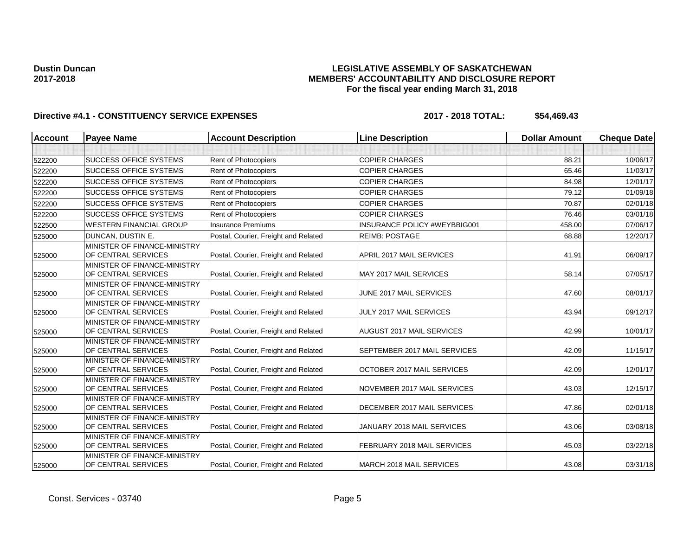## **LEGISLATIVE ASSEMBLY OF SASKATCHEWAN MEMBERS' ACCOUNTABILITY AND DISCLOSURE REPORT For the fiscal year ending March 31, 2018**

| <b>Account</b> | <b>Payee Name</b>                                   | <b>Account Description</b>           | <b>Line Description</b>      | <b>Dollar Amount</b> | <b>Cheque Date</b> |
|----------------|-----------------------------------------------------|--------------------------------------|------------------------------|----------------------|--------------------|
|                |                                                     |                                      |                              |                      |                    |
| 522200         | <b>SUCCESS OFFICE SYSTEMS</b>                       | Rent of Photocopiers                 | <b>COPIER CHARGES</b>        | 88.21                | 10/06/17           |
| 522200         | <b>SUCCESS OFFICE SYSTEMS</b>                       | <b>Rent of Photocopiers</b>          | <b>COPIER CHARGES</b>        | 65.46                | 11/03/17           |
| 522200         | <b>SUCCESS OFFICE SYSTEMS</b>                       | Rent of Photocopiers                 | <b>COPIER CHARGES</b>        | 84.98                | 12/01/17           |
| 522200         | <b>SUCCESS OFFICE SYSTEMS</b>                       | Rent of Photocopiers                 | <b>COPIER CHARGES</b>        | 79.12                | 01/09/18           |
| 522200         | <b>SUCCESS OFFICE SYSTEMS</b>                       | Rent of Photocopiers                 | <b>COPIER CHARGES</b>        | 70.87                | 02/01/18           |
| 522200         | <b>SUCCESS OFFICE SYSTEMS</b>                       | Rent of Photocopiers                 | <b>COPIER CHARGES</b>        | 76.46                | 03/01/18           |
| 522500         | <b>WESTERN FINANCIAL GROUP</b>                      | <b>Insurance Premiums</b>            | INSURANCE POLICY #WEYBBIG001 | 458.00               | 07/06/17           |
| 525000         | DUNCAN, DUSTIN E.                                   | Postal, Courier, Freight and Related | <b>REIMB: POSTAGE</b>        | 68.88                | 12/20/17           |
| 525000         | MINISTER OF FINANCE-MINISTRY<br>OF CENTRAL SERVICES | Postal, Courier, Freight and Related | APRIL 2017 MAIL SERVICES     | 41.91                | 06/09/17           |
| 525000         | MINISTER OF FINANCE-MINISTRY<br>OF CENTRAL SERVICES | Postal, Courier, Freight and Related | MAY 2017 MAIL SERVICES       | 58.14                | 07/05/17           |
| 525000         | MINISTER OF FINANCE-MINISTRY<br>OF CENTRAL SERVICES | Postal, Courier, Freight and Related | JUNE 2017 MAIL SERVICES      | 47.60                | 08/01/17           |
| 525000         | MINISTER OF FINANCE-MINISTRY<br>OF CENTRAL SERVICES | Postal, Courier, Freight and Related | JULY 2017 MAIL SERVICES      | 43.94                | 09/12/17           |
| 525000         | MINISTER OF FINANCE-MINISTRY<br>OF CENTRAL SERVICES | Postal, Courier, Freight and Related | AUGUST 2017 MAIL SERVICES    | 42.99                | 10/01/17           |
| 525000         | MINISTER OF FINANCE-MINISTRY<br>OF CENTRAL SERVICES | Postal, Courier, Freight and Related | SEPTEMBER 2017 MAIL SERVICES | 42.09                | 11/15/17           |
| 525000         | MINISTER OF FINANCE-MINISTRY<br>OF CENTRAL SERVICES | Postal, Courier, Freight and Related | OCTOBER 2017 MAIL SERVICES   | 42.09                | 12/01/17           |
| 525000         | MINISTER OF FINANCE-MINISTRY<br>OF CENTRAL SERVICES | Postal, Courier, Freight and Related | NOVEMBER 2017 MAIL SERVICES  | 43.03                | 12/15/17           |
| 525000         | MINISTER OF FINANCE-MINISTRY<br>OF CENTRAL SERVICES | Postal, Courier, Freight and Related | DECEMBER 2017 MAIL SERVICES  | 47.86                | 02/01/18           |
| 525000         | MINISTER OF FINANCE-MINISTRY<br>OF CENTRAL SERVICES | Postal, Courier, Freight and Related | JANUARY 2018 MAIL SERVICES   | 43.06                | 03/08/18           |
| 525000         | MINISTER OF FINANCE-MINISTRY<br>OF CENTRAL SERVICES | Postal, Courier, Freight and Related | FEBRUARY 2018 MAIL SERVICES  | 45.03                | 03/22/18           |
| 525000         | MINISTER OF FINANCE-MINISTRY<br>OF CENTRAL SERVICES | Postal, Courier, Freight and Related | MARCH 2018 MAIL SERVICES     | 43.08                | 03/31/18           |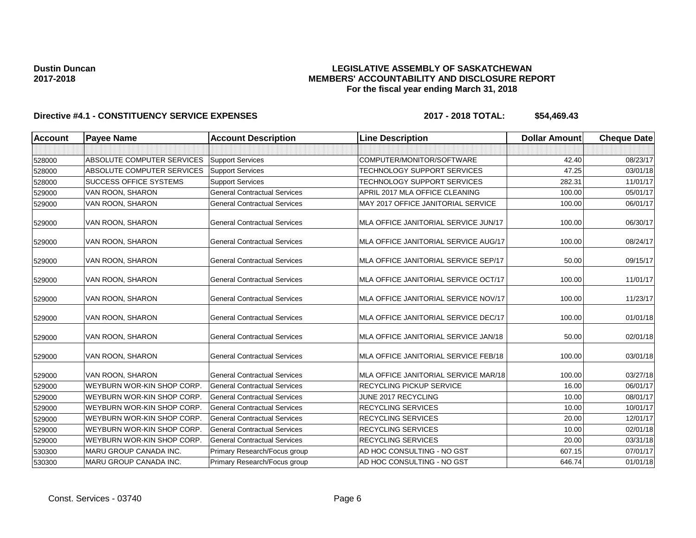## **LEGISLATIVE ASSEMBLY OF SASKATCHEWAN MEMBERS' ACCOUNTABILITY AND DISCLOSURE REPORT For the fiscal year ending March 31, 2018**

| <b>Account</b> | <b>Payee Name</b><br><b>Account Description</b><br><b>Line Description</b> |                                     | <b>Dollar Amount</b>                 | <b>Cheque Date</b> |          |
|----------------|----------------------------------------------------------------------------|-------------------------------------|--------------------------------------|--------------------|----------|
|                |                                                                            |                                     |                                      |                    |          |
| 528000         | <b>ABSOLUTE COMPUTER SERVICES</b>                                          | <b>Support Services</b>             | COMPUTER/MONITOR/SOFTWARE            | 42.40              | 08/23/17 |
| 528000         | <b>ABSOLUTE COMPUTER SERVICES</b>                                          | <b>Support Services</b>             | TECHNOLOGY SUPPORT SERVICES          | 47.25              | 03/01/18 |
| 528000         | <b>SUCCESS OFFICE SYSTEMS</b>                                              | <b>Support Services</b>             | TECHNOLOGY SUPPORT SERVICES          | 282.31             | 11/01/17 |
| 529000         | VAN ROON, SHARON                                                           | <b>General Contractual Services</b> | APRIL 2017 MLA OFFICE CLEANING       | 100.00             | 05/01/17 |
| 529000         | VAN ROON, SHARON                                                           | <b>General Contractual Services</b> | MAY 2017 OFFICE JANITORIAL SERVICE   | 100.00             | 06/01/17 |
| 529000         | VAN ROON, SHARON                                                           | <b>General Contractual Services</b> | MLA OFFICE JANITORIAL SERVICE JUN/17 | 100.00             | 06/30/17 |
| 529000         | VAN ROON, SHARON                                                           | <b>General Contractual Services</b> | MLA OFFICE JANITORIAL SERVICE AUG/17 | 100.00             | 08/24/17 |
| 529000         | VAN ROON, SHARON                                                           | <b>General Contractual Services</b> | MLA OFFICE JANITORIAL SERVICE SEP/17 | 50.00              | 09/15/17 |
| 529000         | VAN ROON, SHARON                                                           | <b>General Contractual Services</b> | MLA OFFICE JANITORIAL SERVICE OCT/17 | 100.00             | 11/01/17 |
| 529000         | VAN ROON, SHARON                                                           | <b>General Contractual Services</b> | MLA OFFICE JANITORIAL SERVICE NOV/17 | 100.00             | 11/23/17 |
| 529000         | VAN ROON, SHARON                                                           | <b>General Contractual Services</b> | MLA OFFICE JANITORIAL SERVICE DEC/17 | 100.00             | 01/01/18 |
| 529000         | VAN ROON, SHARON                                                           | <b>General Contractual Services</b> | MLA OFFICE JANITORIAL SERVICE JAN/18 | 50.00              | 02/01/18 |
| 529000         | VAN ROON, SHARON                                                           | <b>General Contractual Services</b> | MLA OFFICE JANITORIAL SERVICE FEB/18 | 100.00             | 03/01/18 |
| 529000         | VAN ROON, SHARON                                                           | <b>General Contractual Services</b> | MLA OFFICE JANITORIAL SERVICE MAR/18 | 100.00             | 03/27/18 |
| 529000         | WEYBURN WOR-KIN SHOP CORP.                                                 | <b>General Contractual Services</b> | <b>RECYCLING PICKUP SERVICE</b>      | 16.00              | 06/01/17 |
| 529000         | WEYBURN WOR-KIN SHOP CORP.                                                 | <b>General Contractual Services</b> | JUNE 2017 RECYCLING                  | 10.00              | 08/01/17 |
| 529000         | WEYBURN WOR-KIN SHOP CORP.                                                 | <b>General Contractual Services</b> | <b>RECYCLING SERVICES</b>            | 10.00              | 10/01/17 |
| 529000         | WEYBURN WOR-KIN SHOP CORP.                                                 | <b>General Contractual Services</b> | RECYCLING SERVICES                   | 20.00              | 12/01/17 |
| 529000         | <b>WEYBURN WOR-KIN SHOP CORP</b>                                           | <b>General Contractual Services</b> | <b>RECYCLING SERVICES</b>            | 10.00              | 02/01/18 |
| 529000         | WEYBURN WOR-KIN SHOP CORP.                                                 | <b>General Contractual Services</b> | <b>RECYCLING SERVICES</b>            | 20.00              | 03/31/18 |
| 530300         | <b>MARU GROUP CANADA INC.</b>                                              | Primary Research/Focus group        | AD HOC CONSULTING - NO GST           | 607.15             | 07/01/17 |
| 530300         | MARU GROUP CANADA INC.                                                     | Primary Research/Focus group        | 646.74<br>AD HOC CONSULTING - NO GST |                    | 01/01/18 |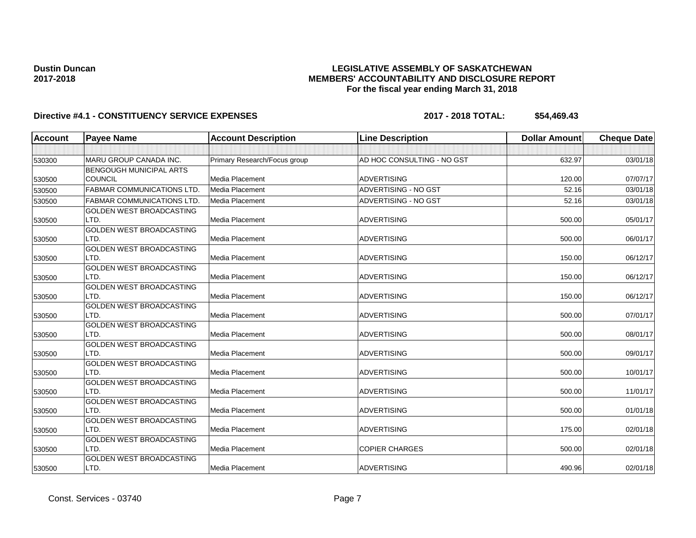# **LEGISLATIVE ASSEMBLY OF SASKATCHEWAN MEMBERS' ACCOUNTABILITY AND DISCLOSURE REPORT For the fiscal year ending March 31, 2018**

| <b>Account</b> | <b>Payee Name</b>                       | <b>Account Description</b>   | <b>Line Description</b>    | <b>Dollar Amount</b> | <b>Cheque Date</b> |
|----------------|-----------------------------------------|------------------------------|----------------------------|----------------------|--------------------|
|                |                                         |                              |                            |                      |                    |
| 530300         | MARU GROUP CANADA INC.                  | Primary Research/Focus group | AD HOC CONSULTING - NO GST | 632.97               | 03/01/18           |
|                | BENGOUGH MUNICIPAL ARTS                 |                              |                            |                      |                    |
| 530500         | COUNCIL                                 | Media Placement              | <b>ADVERTISING</b>         | 120.00               | 07/07/17           |
| 530500         | <b>FABMAR COMMUNICATIONS LTD.</b>       | Media Placement              | ADVERTISING - NO GST       | 52.16                | 03/01/18           |
| 530500         | <b>FABMAR COMMUNICATIONS LTD.</b>       | Media Placement              | ADVERTISING - NO GST       | 52.16                | 03/01/18           |
|                | GOLDEN WEST BROADCASTING                |                              |                            |                      |                    |
| 530500         | LTD.                                    | Media Placement              | <b>ADVERTISING</b>         | 500.00               | 05/01/17           |
|                | <b>GOLDEN WEST BROADCASTING</b>         |                              |                            |                      |                    |
| 530500         | LTD.                                    | Media Placement              | <b>ADVERTISING</b>         | 500.00               | 06/01/17           |
|                | GOLDEN WEST BROADCASTING                |                              |                            |                      |                    |
| 530500         | LTD.                                    | Media Placement              | <b>ADVERTISING</b>         | 150.00               | 06/12/17           |
|                | GOLDEN WEST BROADCASTING                |                              |                            |                      |                    |
| 530500         | LTD.                                    | Media Placement              | <b>ADVERTISING</b>         | 150.00               | 06/12/17           |
|                | <b>GOLDEN WEST BROADCASTING</b>         |                              |                            |                      |                    |
| 530500         | LTD.                                    | Media Placement              | <b>ADVERTISING</b>         | 150.00               | 06/12/17           |
|                | <b>GOLDEN WEST BROADCASTING</b>         |                              |                            |                      |                    |
| 530500         | LTD.                                    | Media Placement              | <b>ADVERTISING</b>         | 500.00               | 07/01/17           |
|                | <b>GOLDEN WEST BROADCASTING</b>         |                              |                            |                      |                    |
| 530500         | LTD.                                    | Media Placement              | <b>ADVERTISING</b>         | 500.00               | 08/01/17           |
|                | GOLDEN WEST BROADCASTING                |                              |                            |                      |                    |
| 530500         | LTD.                                    | Media Placement              | <b>ADVERTISING</b>         | 500.00               | 09/01/17           |
|                | GOLDEN WEST BROADCASTING                |                              |                            |                      |                    |
| 530500         | LTD.                                    | Media Placement              | <b>ADVERTISING</b>         | 500.00               | 10/01/17           |
|                | GOLDEN WEST BROADCASTING                |                              |                            |                      |                    |
| 530500         | LTD.                                    | Media Placement              | <b>ADVERTISING</b>         | 500.00               | 11/01/17           |
|                | GOLDEN WEST BROADCASTING                |                              |                            |                      |                    |
| 530500         | LTD.                                    | Media Placement              | <b>ADVERTISING</b>         | 500.00               | 01/01/18           |
|                | <b>GOLDEN WEST BROADCASTING</b>         | Media Placement              | <b>ADVERTISING</b>         | 175.00               | 02/01/18           |
| 530500         | LTD.                                    |                              |                            |                      |                    |
|                | <b>GOLDEN WEST BROADCASTING</b><br>LTD. | Media Placement              | <b>COPIER CHARGES</b>      | 500.00               | 02/01/18           |
| 530500         | <b>GOLDEN WEST BROADCASTING</b>         |                              |                            |                      |                    |
|                | LTD.                                    | Media Placement              | <b>ADVERTISING</b>         | 490.96               | 02/01/18           |
| 530500         |                                         |                              |                            |                      |                    |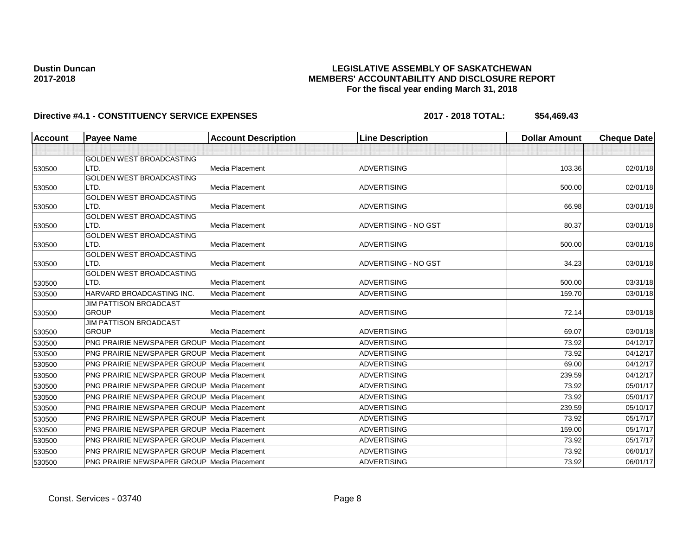# **LEGISLATIVE ASSEMBLY OF SASKATCHEWAN MEMBERS' ACCOUNTABILITY AND DISCLOSURE REPORT For the fiscal year ending March 31, 2018**

| <b>Account</b> | <b>Payee Name</b>                                  | <b>Account Description</b> | <b>Line Description</b> | <b>Dollar Amount</b> | <b>Cheque Date</b> |
|----------------|----------------------------------------------------|----------------------------|-------------------------|----------------------|--------------------|
|                |                                                    |                            |                         |                      |                    |
|                | <b>GOLDEN WEST BROADCASTING</b>                    |                            |                         |                      |                    |
| 530500         | LTD.                                               | Media Placement            | <b>ADVERTISING</b>      | 103.36               | 02/01/18           |
|                | <b>GOLDEN WEST BROADCASTING</b>                    |                            |                         |                      |                    |
| 530500         | LTD.                                               | Media Placement            | <b>ADVERTISING</b>      | 500.00               | 02/01/18           |
|                | GOLDEN WEST BROADCASTING                           |                            |                         |                      |                    |
| 530500         | LTD.<br>GOLDEN WEST BROADCASTING                   | Media Placement            | <b>ADVERTISING</b>      | 66.98                | 03/01/18           |
| 530500         | LTD.                                               | Media Placement            | ADVERTISING - NO GST    | 80.37                | 03/01/18           |
|                | <b>GOLDEN WEST BROADCASTING</b>                    |                            |                         |                      |                    |
| 530500         | LTD.                                               | Media Placement            | <b>ADVERTISING</b>      | 500.00               | 03/01/18           |
|                | <b>GOLDEN WEST BROADCASTING</b>                    |                            |                         |                      |                    |
| 530500         | LTD.                                               | Media Placement            | ADVERTISING - NO GST    | 34.23                | 03/01/18           |
|                | GOLDEN WEST BROADCASTING                           |                            |                         |                      |                    |
| 530500         | LTD.                                               | Media Placement            | <b>ADVERTISING</b>      | 500.00               | 03/31/18           |
| 530500         | HARVARD BROADCASTING INC.                          | Media Placement            | <b>ADVERTISING</b>      | 159.70               | 03/01/18           |
|                | <b>JIM PATTISON BROADCAST</b>                      |                            |                         |                      |                    |
| 530500         | <b>GROUP</b>                                       | Media Placement            | <b>ADVERTISING</b>      | 72.14                | 03/01/18           |
|                | <b>JIM PATTISON BROADCAST</b>                      |                            |                         |                      |                    |
| 530500         | <b>GROUP</b>                                       | Media Placement            | <b>ADVERTISING</b>      | 69.07                | 03/01/18           |
| 530500         | <b>PNG PRAIRIE NEWSPAPER GROUP Media Placement</b> |                            | <b>ADVERTISING</b>      | 73.92                | 04/12/17           |
| 530500         | PNG PRAIRIE NEWSPAPER GROUP Media Placement        |                            | <b>ADVERTISING</b>      | 73.92                | 04/12/17           |
| 530500         | PNG PRAIRIE NEWSPAPER GROUP Media Placement        |                            | <b>ADVERTISING</b>      | 69.00                | 04/12/17           |
| 530500         | <b>PNG PRAIRIE NEWSPAPER GROUP Media Placement</b> |                            | <b>ADVERTISING</b>      | 239.59               | 04/12/17           |
| 530500         | <b>PNG PRAIRIE NEWSPAPER GROUP Media Placement</b> |                            | <b>ADVERTISING</b>      | 73.92                | 05/01/17           |
| 530500         | <b>PNG PRAIRIE NEWSPAPER GROUP Media Placement</b> |                            | <b>ADVERTISING</b>      | 73.92                | 05/01/17           |
| 530500         | PNG PRAIRIE NEWSPAPER GROUP Media Placement        |                            | <b>ADVERTISING</b>      | 239.59               | 05/10/17           |
| 530500         | PNG PRAIRIE NEWSPAPER GROUP Media Placement        |                            | <b>ADVERTISING</b>      | 73.92                | 05/17/17           |
| 530500         | <b>PNG PRAIRIE NEWSPAPER GROUP Media Placement</b> |                            | <b>ADVERTISING</b>      | 159.00               | 05/17/17           |
| 530500         | <b>PNG PRAIRIE NEWSPAPER GROUP Media Placement</b> |                            | <b>ADVERTISING</b>      | 73.92                | 05/17/17           |
| 530500         | <b>PNG PRAIRIE NEWSPAPER GROUP Media Placement</b> |                            | <b>ADVERTISING</b>      | 73.92                | 06/01/17           |
| 530500         | PNG PRAIRIE NEWSPAPER GROUP Media Placement        |                            | <b>ADVERTISING</b>      | 73.92                | 06/01/17           |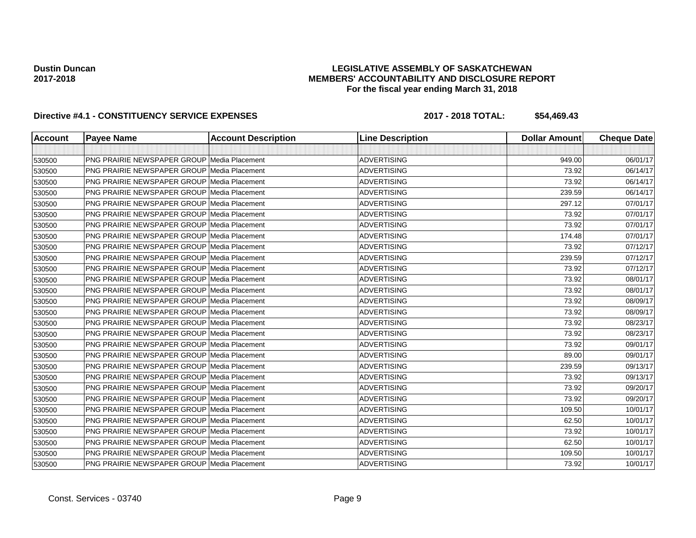## **LEGISLATIVE ASSEMBLY OF SASKATCHEWAN MEMBERS' ACCOUNTABILITY AND DISCLOSURE REPORT For the fiscal year ending March 31, 2018**

| <b>Account</b> | <b>Payee Name</b>                                  | <b>Account Description</b> | <b>Line Description</b> | <b>Dollar Amount</b> | <b>Cheque Date</b> |
|----------------|----------------------------------------------------|----------------------------|-------------------------|----------------------|--------------------|
|                |                                                    |                            |                         |                      |                    |
| 530500         | <b>PNG PRAIRIE NEWSPAPER GROUP Media Placement</b> |                            | <b>ADVERTISING</b>      | 949.00               | 06/01/17           |
| 530500         | <b>PNG PRAIRIE NEWSPAPER GROUP Media Placement</b> |                            | <b>ADVERTISING</b>      | 73.92                | 06/14/17           |
| 530500         | PNG PRAIRIE NEWSPAPER GROUP Media Placement        |                            | <b>ADVERTISING</b>      | 73.92                | 06/14/17           |
| 530500         | <b>PNG PRAIRIE NEWSPAPER GROUP Media Placement</b> |                            | <b>ADVERTISING</b>      | 239.59               | 06/14/17           |
| 530500         | <b>PNG PRAIRIE NEWSPAPER GROUP Media Placement</b> |                            | <b>ADVERTISING</b>      | 297.12               | 07/01/17           |
| 530500         | <b>PNG PRAIRIE NEWSPAPER GROUP Media Placement</b> |                            | <b>ADVERTISING</b>      | 73.92                | 07/01/17           |
| 530500         | <b>PNG PRAIRIE NEWSPAPER GROUP Media Placement</b> |                            | <b>ADVERTISING</b>      | 73.92                | 07/01/17           |
| 530500         | <b>PNG PRAIRIE NEWSPAPER GROUP Media Placement</b> |                            | <b>ADVERTISING</b>      | 174.48               | 07/01/17           |
| 530500         | <b>PNG PRAIRIE NEWSPAPER GROUP Media Placement</b> |                            | <b>ADVERTISING</b>      | 73.92                | 07/12/17           |
| 530500         | <b>PNG PRAIRIE NEWSPAPER GROUP Media Placement</b> |                            | <b>ADVERTISING</b>      | 239.59               | 07/12/17           |
| 530500         | <b>PNG PRAIRIE NEWSPAPER GROUP Media Placement</b> |                            | <b>ADVERTISING</b>      | 73.92                | 07/12/17           |
| 530500         | <b>PNG PRAIRIE NEWSPAPER GROUP Media Placement</b> |                            | <b>ADVERTISING</b>      | 73.92                | 08/01/17           |
| 530500         | <b>PNG PRAIRIE NEWSPAPER GROUP Media Placement</b> |                            | <b>ADVERTISING</b>      | 73.92                | 08/01/17           |
| 530500         | <b>PNG PRAIRIE NEWSPAPER GROUP Media Placement</b> |                            | <b>ADVERTISING</b>      | 73.92                | 08/09/17           |
| 530500         | PNG PRAIRIE NEWSPAPER GROUP Media Placement        |                            | <b>ADVERTISING</b>      | 73.92                | 08/09/17           |
| 530500         | <b>PNG PRAIRIE NEWSPAPER GROUP Media Placement</b> |                            | <b>ADVERTISING</b>      | 73.92                | 08/23/17           |
| 530500         | <b>PNG PRAIRIE NEWSPAPER GROUP Media Placement</b> |                            | <b>ADVERTISING</b>      | 73.92                | 08/23/17           |
| 530500         | <b>PNG PRAIRIE NEWSPAPER GROUP Media Placement</b> |                            | <b>ADVERTISING</b>      | 73.92                | 09/01/17           |
| 530500         | <b>PNG PRAIRIE NEWSPAPER GROUP Media Placement</b> |                            | <b>ADVERTISING</b>      | 89.00                | 09/01/17           |
| 530500         | PNG PRAIRIE NEWSPAPER GROUP Media Placement        |                            | <b>ADVERTISING</b>      | 239.59               | 09/13/17           |
| 530500         | <b>PNG PRAIRIE NEWSPAPER GROUP Media Placement</b> |                            | <b>ADVERTISING</b>      | 73.92                | 09/13/17           |
| 530500         | <b>PNG PRAIRIE NEWSPAPER GROUP Media Placement</b> |                            | <b>ADVERTISING</b>      | 73.92                | 09/20/17           |
| 530500         | <b>PNG PRAIRIE NEWSPAPER GROUP Media Placement</b> |                            | <b>ADVERTISING</b>      | 73.92                | 09/20/17           |
| 530500         | PNG PRAIRIE NEWSPAPER GROUP Media Placement        |                            | <b>ADVERTISING</b>      | 109.50               | 10/01/17           |
| 530500         | PNG PRAIRIE NEWSPAPER GROUP Media Placement        |                            | <b>ADVERTISING</b>      | 62.50                | 10/01/17           |
| 530500         | <b>PNG PRAIRIE NEWSPAPER GROUP Media Placement</b> |                            | <b>ADVERTISING</b>      | 73.92                | 10/01/17           |
| 530500         | <b>PNG PRAIRIE NEWSPAPER GROUP Media Placement</b> |                            | <b>ADVERTISING</b>      | 62.50                | 10/01/17           |
| 530500         | <b>PNG PRAIRIE NEWSPAPER GROUP Media Placement</b> |                            | <b>ADVERTISING</b>      | 109.50               | 10/01/17           |
| 530500         | PNG PRAIRIE NEWSPAPER GROUP Media Placement        |                            | <b>ADVERTISING</b>      | 73.92                | 10/01/17           |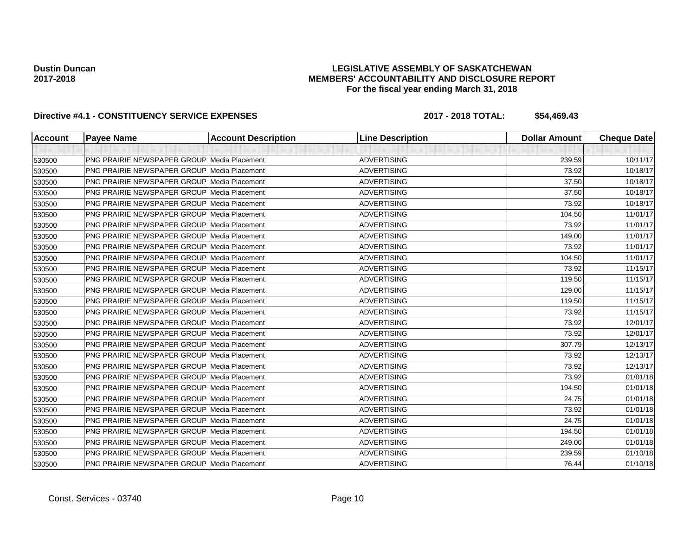## **LEGISLATIVE ASSEMBLY OF SASKATCHEWAN MEMBERS' ACCOUNTABILITY AND DISCLOSURE REPORT For the fiscal year ending March 31, 2018**

| Account | <b>Payee Name</b>                                  | <b>Account Description</b> | <b>Line Description</b> | <b>Dollar Amount</b> | <b>Cheque Date</b> |
|---------|----------------------------------------------------|----------------------------|-------------------------|----------------------|--------------------|
|         |                                                    |                            |                         |                      |                    |
| 530500  | <b>PNG PRAIRIE NEWSPAPER GROUP Media Placement</b> |                            | <b>ADVERTISING</b>      | 239.59               | 10/11/17           |
| 530500  | <b>PNG PRAIRIE NEWSPAPER GROUP Media Placement</b> |                            | <b>ADVERTISING</b>      | 73.92                | 10/18/17           |
| 530500  | PNG PRAIRIE NEWSPAPER GROUP Media Placement        |                            | <b>ADVERTISING</b>      | 37.50                | 10/18/17           |
| 530500  | PNG PRAIRIE NEWSPAPER GROUP Media Placement        |                            | <b>ADVERTISING</b>      | 37.50                | 10/18/17           |
| 530500  | <b>PNG PRAIRIE NEWSPAPER GROUP Media Placement</b> |                            | <b>ADVERTISING</b>      | 73.92                | 10/18/17           |
| 530500  | <b>PNG PRAIRIE NEWSPAPER GROUP Media Placement</b> |                            | <b>ADVERTISING</b>      | 104.50               | 11/01/17           |
| 530500  | <b>PNG PRAIRIE NEWSPAPER GROUP Media Placement</b> |                            | <b>ADVERTISING</b>      | 73.92                | 11/01/17           |
| 530500  | <b>PNG PRAIRIE NEWSPAPER GROUP Media Placement</b> |                            | <b>ADVERTISING</b>      | 149.00               | 11/01/17           |
| 530500  | <b>PNG PRAIRIE NEWSPAPER GROUP Media Placement</b> |                            | <b>ADVERTISING</b>      | 73.92                | 11/01/17           |
| 530500  | PNG PRAIRIE NEWSPAPER GROUP Media Placement        |                            | <b>ADVERTISING</b>      | 104.50               | 11/01/17           |
| 530500  | <b>PNG PRAIRIE NEWSPAPER GROUP Media Placement</b> |                            | <b>ADVERTISING</b>      | 73.92                | 11/15/17           |
| 530500  | <b>PNG PRAIRIE NEWSPAPER GROUP Media Placement</b> |                            | <b>ADVERTISING</b>      | 119.50               | 11/15/17           |
| 530500  | <b>PNG PRAIRIE NEWSPAPER GROUP Media Placement</b> |                            | <b>ADVERTISING</b>      | 129.00               | 11/15/17           |
| 530500  | <b>PNG PRAIRIE NEWSPAPER GROUP Media Placement</b> |                            | <b>ADVERTISING</b>      | 119.50               | 11/15/17           |
| 530500  | <b>PNG PRAIRIE NEWSPAPER GROUP Media Placement</b> |                            | <b>ADVERTISING</b>      | 73.92                | 11/15/17           |
| 530500  | <b>PNG PRAIRIE NEWSPAPER GROUP Media Placement</b> |                            | <b>ADVERTISING</b>      | 73.92                | 12/01/17           |
| 530500  | <b>PNG PRAIRIE NEWSPAPER GROUP Media Placement</b> |                            | <b>ADVERTISING</b>      | 73.92                | 12/01/17           |
| 530500  | PNG PRAIRIE NEWSPAPER GROUP Media Placement        |                            | <b>ADVERTISING</b>      | 307.79               | 12/13/17           |
| 530500  | <b>PNG PRAIRIE NEWSPAPER GROUP Media Placement</b> |                            | <b>ADVERTISING</b>      | 73.92                | 12/13/17           |
| 530500  | <b>PNG PRAIRIE NEWSPAPER GROUP Media Placement</b> |                            | <b>ADVERTISING</b>      | 73.92                | 12/13/17           |
| 530500  | <b>PNG PRAIRIE NEWSPAPER GROUP Media Placement</b> |                            | <b>ADVERTISING</b>      | 73.92                | 01/01/18           |
| 530500  | <b>PNG PRAIRIE NEWSPAPER GROUP Media Placement</b> |                            | <b>ADVERTISING</b>      | 194.50               | 01/01/18           |
| 530500  | <b>PNG PRAIRIE NEWSPAPER GROUP Media Placement</b> |                            | <b>ADVERTISING</b>      | 24.75                | 01/01/18           |
| 530500  | PNG PRAIRIE NEWSPAPER GROUP Media Placement        |                            | <b>ADVERTISING</b>      | 73.92                | 01/01/18           |
| 530500  | <b>PNG PRAIRIE NEWSPAPER GROUP Media Placement</b> |                            | <b>ADVERTISING</b>      | 24.75                | 01/01/18           |
| 530500  | <b>PNG PRAIRIE NEWSPAPER GROUP Media Placement</b> |                            | <b>ADVERTISING</b>      | 194.50               | 01/01/18           |
| 530500  | <b>PNG PRAIRIE NEWSPAPER GROUP Media Placement</b> |                            | <b>ADVERTISING</b>      | 249.00               | 01/01/18           |
| 530500  | <b>PNG PRAIRIE NEWSPAPER GROUP Media Placement</b> |                            | <b>ADVERTISING</b>      | 239.59               | 01/10/18           |
| 530500  | PNG PRAIRIE NEWSPAPER GROUP Media Placement        |                            | <b>ADVERTISING</b>      | 76.44                | 01/10/18           |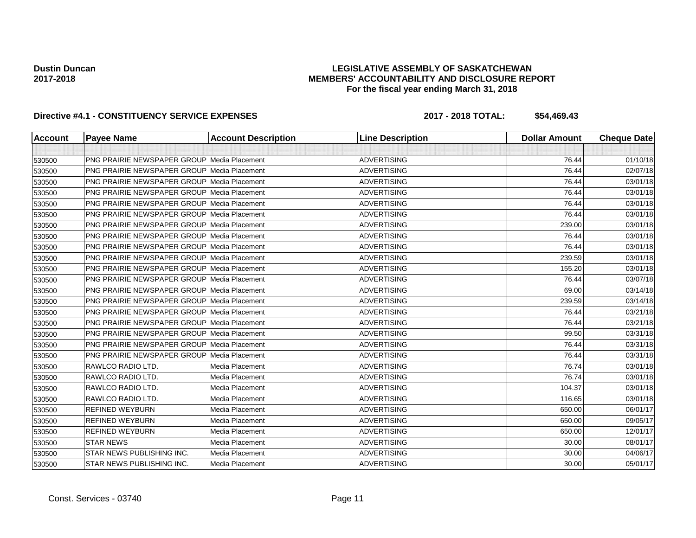## **LEGISLATIVE ASSEMBLY OF SASKATCHEWAN MEMBERS' ACCOUNTABILITY AND DISCLOSURE REPORT For the fiscal year ending March 31, 2018**

| Account | <b>Payee Name</b>                                  | <b>Account Description</b> | <b>Line Description</b> | <b>Dollar Amount</b> | <b>Cheque Date</b> |
|---------|----------------------------------------------------|----------------------------|-------------------------|----------------------|--------------------|
|         |                                                    |                            |                         |                      |                    |
| 530500  | <b>PNG PRAIRIE NEWSPAPER GROUP Media Placement</b> |                            | <b>ADVERTISING</b>      | 76.44                | 01/10/18           |
| 530500  | <b>PNG PRAIRIE NEWSPAPER GROUP Media Placement</b> |                            | <b>ADVERTISING</b>      | 76.44                | 02/07/18           |
| 530500  | <b>PNG PRAIRIE NEWSPAPER GROUP Media Placement</b> |                            | <b>ADVERTISING</b>      | 76.44                | 03/01/18           |
| 530500  | <b>PNG PRAIRIE NEWSPAPER GROUP Media Placement</b> |                            | <b>ADVERTISING</b>      | 76.44                | 03/01/18           |
| 530500  | <b>PNG PRAIRIE NEWSPAPER GROUP Media Placement</b> |                            | <b>ADVERTISING</b>      | 76.44                | 03/01/18           |
| 530500  | <b>PNG PRAIRIE NEWSPAPER GROUP Media Placement</b> |                            | <b>ADVERTISING</b>      | 76.44                | 03/01/18           |
| 530500  | <b>PNG PRAIRIE NEWSPAPER GROUP Media Placement</b> |                            | <b>ADVERTISING</b>      | 239.00               | 03/01/18           |
| 530500  | <b>PNG PRAIRIE NEWSPAPER GROUP Media Placement</b> |                            | <b>ADVERTISING</b>      | 76.44                | 03/01/18           |
| 530500  | <b>PNG PRAIRIE NEWSPAPER GROUP Media Placement</b> |                            | <b>ADVERTISING</b>      | 76.44                | 03/01/18           |
| 530500  | PNG PRAIRIE NEWSPAPER GROUP Media Placement        |                            | <b>ADVERTISING</b>      | 239.59               | 03/01/18           |
| 530500  | <b>PNG PRAIRIE NEWSPAPER GROUP Media Placement</b> |                            | <b>ADVERTISING</b>      | 155.20               | 03/01/18           |
| 530500  | PNG PRAIRIE NEWSPAPER GROUP   Media Placement      |                            | <b>ADVERTISING</b>      | 76.44                | 03/07/18           |
| 530500  | <b>PNG PRAIRIE NEWSPAPER GROUP Media Placement</b> |                            | <b>ADVERTISING</b>      | 69.00                | 03/14/18           |
| 530500  | <b>PNG PRAIRIE NEWSPAPER GROUP Media Placement</b> |                            | <b>ADVERTISING</b>      | 239.59               | 03/14/18           |
| 530500  | <b>PNG PRAIRIE NEWSPAPER GROUP Media Placement</b> |                            | <b>ADVERTISING</b>      | 76.44                | 03/21/18           |
| 530500  | <b>PNG PRAIRIE NEWSPAPER GROUP Media Placement</b> |                            | <b>ADVERTISING</b>      | 76.44                | 03/21/18           |
| 530500  | <b>PNG PRAIRIE NEWSPAPER GROUP Media Placement</b> |                            | <b>ADVERTISING</b>      | 99.50                | 03/31/18           |
| 530500  | <b>PNG PRAIRIE NEWSPAPER GROUP Media Placement</b> |                            | <b>ADVERTISING</b>      | 76.44                | 03/31/18           |
| 530500  | PNG PRAIRIE NEWSPAPER GROUP Media Placement        |                            | <b>ADVERTISING</b>      | 76.44                | 03/31/18           |
| 530500  | RAWLCO RADIO LTD.                                  | Media Placement            | <b>ADVERTISING</b>      | 76.74                | 03/01/18           |
| 530500  | <b>RAWLCO RADIO LTD.</b>                           | Media Placement            | <b>ADVERTISING</b>      | 76.74                | 03/01/18           |
| 530500  | RAWLCO RADIO LTD.                                  | Media Placement            | <b>ADVERTISING</b>      | 104.37               | 03/01/18           |
| 530500  | RAWLCO RADIO LTD.                                  | Media Placement            | <b>ADVERTISING</b>      | 116.65               | 03/01/18           |
| 530500  | <b>REFINED WEYBURN</b>                             | Media Placement            | <b>ADVERTISING</b>      | 650.00               | 06/01/17           |
| 530500  | <b>REFINED WEYBURN</b>                             | Media Placement            | <b>ADVERTISING</b>      | 650.00               | 09/05/17           |
| 530500  | <b>REFINED WEYBURN</b>                             | Media Placement            | <b>ADVERTISING</b>      | 650.00               | 12/01/17           |
| 530500  | <b>STAR NEWS</b>                                   | Media Placement            | <b>ADVERTISING</b>      | 30.00                | 08/01/17           |
| 530500  | STAR NEWS PUBLISHING INC.                          | Media Placement            | <b>ADVERTISING</b>      | 30.00                | 04/06/17           |
| 530500  | STAR NEWS PUBLISHING INC.                          | Media Placement            | <b>ADVERTISING</b>      | 30.00                | 05/01/17           |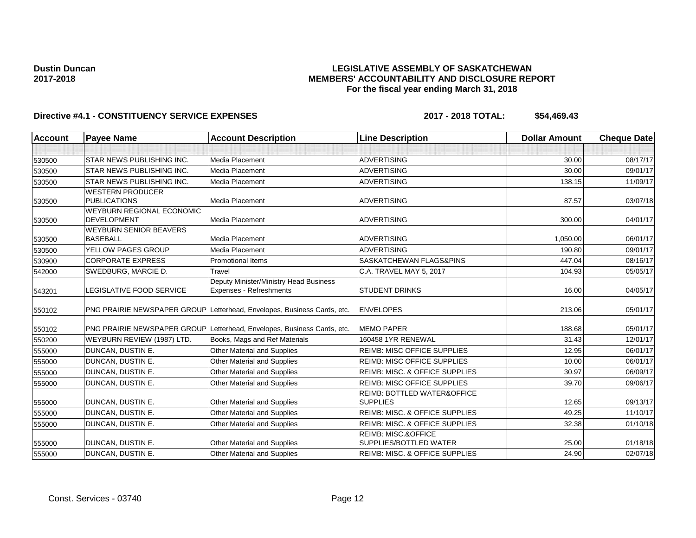## **LEGISLATIVE ASSEMBLY OF SASKATCHEWAN MEMBERS' ACCOUNTABILITY AND DISCLOSURE REPORT For the fiscal year ending March 31, 2018**

| <b>Account</b> | <b>Payee Name</b>                | <b>Account Description</b>                                              | <b>Line Description</b>                   | <b>Dollar Amount</b> | <b>Cheque Date</b> |
|----------------|----------------------------------|-------------------------------------------------------------------------|-------------------------------------------|----------------------|--------------------|
|                |                                  |                                                                         |                                           |                      |                    |
| 530500         | <b>STAR NEWS PUBLISHING INC.</b> | Media Placement                                                         | <b>ADVERTISING</b>                        | 30.00                | 08/17/17           |
| 530500         | <b>STAR NEWS PUBLISHING INC.</b> | Media Placement                                                         | <b>ADVERTISING</b>                        | 30.00                | 09/01/17           |
| 530500         | <b>STAR NEWS PUBLISHING INC.</b> | Media Placement                                                         | <b>ADVERTISING</b>                        | 138.15               | 11/09/17           |
|                | <b>WESTERN PRODUCER</b>          |                                                                         |                                           |                      |                    |
| 530500         | <b>PUBLICATIONS</b>              | Media Placement                                                         | <b>ADVERTISING</b>                        | 87.57                | 03/07/18           |
|                | <b>WEYBURN REGIONAL ECONOMIC</b> |                                                                         |                                           |                      |                    |
| 530500         | <b>DEVELOPMENT</b>               | Media Placement                                                         | <b>ADVERTISING</b>                        | 300.00               | 04/01/17           |
|                | <b>WEYBURN SENIOR BEAVERS</b>    |                                                                         |                                           |                      |                    |
| 530500         | <b>BASEBALL</b>                  | <b>Media Placement</b>                                                  | <b>ADVERTISING</b>                        | 1.050.00             | 06/01/17           |
| 530500         | YELLOW PAGES GROUP               | Media Placement                                                         | <b>ADVERTISING</b>                        | 190.80               | 09/01/17           |
| 530900         | <b>CORPORATE EXPRESS</b>         | <b>Promotional Items</b>                                                | SASKATCHEWAN FLAGS&PINS                   | 447.04               | 08/16/17           |
| 542000         | SWEDBURG, MARCIE D.              | Travel                                                                  | C.A. TRAVEL MAY 5, 2017                   | 104.93               | 05/05/17           |
|                |                                  | Deputy Minister/Ministry Head Business                                  |                                           |                      |                    |
| 543201         | LEGISLATIVE FOOD SERVICE         | Expenses - Refreshments                                                 | <b>STUDENT DRINKS</b>                     | 16.00                | 04/05/17           |
|                |                                  | PNG PRAIRIE NEWSPAPER GROUP Letterhead, Envelopes, Business Cards, etc. | <b>ENVELOPES</b>                          | 213.06               | 05/01/17           |
| 550102         |                                  |                                                                         |                                           |                      |                    |
| 550102         |                                  | PNG PRAIRIE NEWSPAPER GROUP Letterhead, Envelopes, Business Cards, etc. | <b>MEMO PAPER</b>                         | 188.68               | 05/01/17           |
| 550200         | WEYBURN REVIEW (1987) LTD.       | Books, Mags and Ref Materials                                           | 160458 1YR RENEWAL                        | 31.43                | 12/01/17           |
| 555000         | DUNCAN, DUSTIN E.                | Other Material and Supplies                                             | <b>REIMB: MISC OFFICE SUPPLIES</b>        | 12.95                | 06/01/17           |
| 555000         | DUNCAN, DUSTIN E.                | <b>Other Material and Supplies</b>                                      | <b>REIMB: MISC OFFICE SUPPLIES</b>        | 10.00                | 06/01/17           |
| 555000         | DUNCAN, DUSTIN E.                | Other Material and Supplies                                             | <b>REIMB: MISC. &amp; OFFICE SUPPLIES</b> | 30.97                | 06/09/17           |
| 555000         | DUNCAN, DUSTIN E.                | Other Material and Supplies                                             | <b>REIMB: MISC OFFICE SUPPLIES</b>        | 39.70                | 09/06/17           |
|                |                                  |                                                                         | REIMB: BOTTLED WATER&OFFICE               |                      |                    |
| 555000         | DUNCAN, DUSTIN E.                | Other Material and Supplies                                             | <b>SUPPLIES</b>                           | 12.65                | 09/13/17           |
| 555000         | DUNCAN, DUSTIN E.                | Other Material and Supplies                                             | <b>REIMB: MISC. &amp; OFFICE SUPPLIES</b> | 49.25                | 11/10/17           |
| 555000         | DUNCAN, DUSTIN E.                | Other Material and Supplies                                             | REIMB: MISC. & OFFICE SUPPLIES            | 32.38                | 01/10/18           |
|                |                                  |                                                                         | <b>REIMB: MISC.&amp;OFFICE</b>            |                      |                    |
| 555000         | DUNCAN, DUSTIN E.                | Other Material and Supplies                                             | SUPPLIES/BOTTLED WATER                    | 25.00                | 01/18/18           |
| 555000         | DUNCAN, DUSTIN E.                | <b>Other Material and Supplies</b>                                      | REIMB: MISC. & OFFICE SUPPLIES            | 24.90                | 02/07/18           |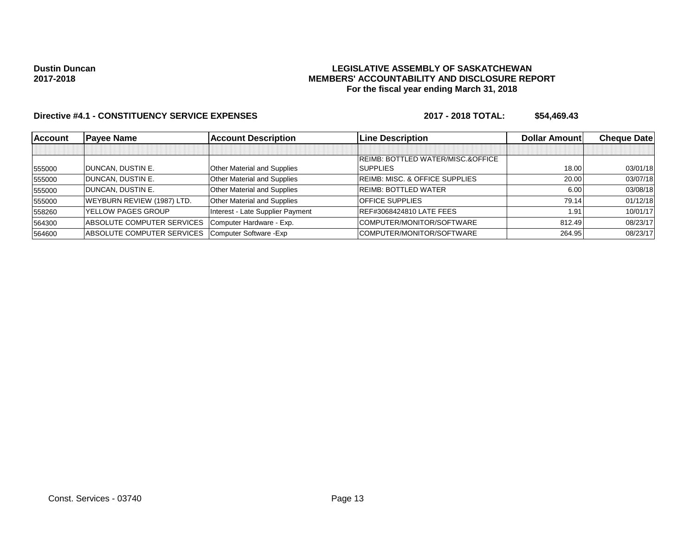## **LEGISLATIVE ASSEMBLY OF SASKATCHEWAN MEMBERS' ACCOUNTABILITY AND DISCLOSURE REPORT For the fiscal year ending March 31, 2018**

| <b>Account</b> | <b>Payee Name</b>                 | <b>Account Description</b>       | <b>Line Description</b>                   | <b>Dollar Amount</b> | <b>Cheque Datel</b> |
|----------------|-----------------------------------|----------------------------------|-------------------------------------------|----------------------|---------------------|
|                |                                   |                                  |                                           |                      |                     |
|                |                                   |                                  | REIMB: BOTTLED WATER/MISC.&OFFICE         |                      |                     |
| 555000         | DUNCAN, DUSTIN E.                 | Other Material and Supplies      | <b>SUPPLIES</b>                           | 18.00                | 03/01/18            |
| 555000         | DUNCAN, DUSTIN E.                 | Other Material and Supplies      | <b>REIMB: MISC. &amp; OFFICE SUPPLIES</b> | 20.00                | 03/07/18            |
| 555000         | DUNCAN, DUSTIN E.                 | Other Material and Supplies      | <b>REIMB: BOTTLED WATER</b>               | 6.00                 | 03/08/18            |
| 555000         | WEYBURN REVIEW (1987) LTD.        | Other Material and Supplies      | <b>OFFICE SUPPLIES</b>                    | 79.14                | 01/12/18            |
| 558260         | <b>YELLOW PAGES GROUP</b>         | Interest - Late Supplier Payment | REF#3068424810 LATE FEES                  | 1.91                 | 10/01/17            |
| 564300         | <b>ABSOLUTE COMPUTER SERVICES</b> | Computer Hardware - Exp.         | COMPUTER/MONITOR/SOFTWARE                 | 812.49               | 08/23/17            |
| 564600         | ABSOLUTE COMPUTER SERVICES        | Computer Software - Exp          | COMPUTER/MONITOR/SOFTWARE                 | 264.95               | 08/23/17            |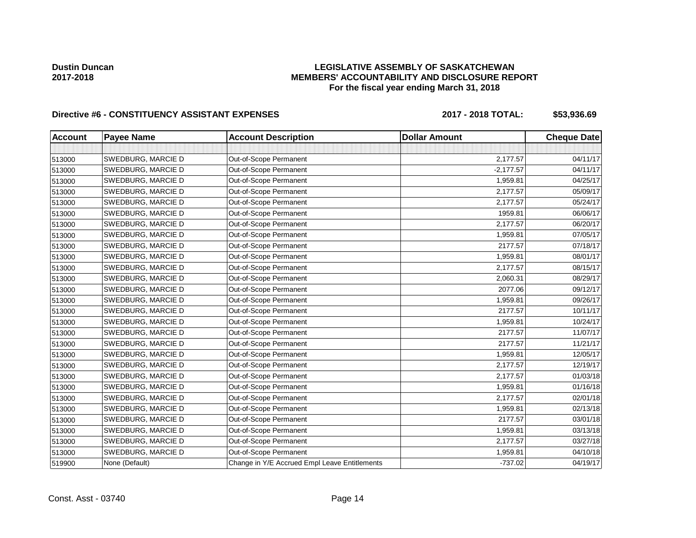## **LEGISLATIVE ASSEMBLY OF SASKATCHEWAN MEMBERS' ACCOUNTABILITY AND DISCLOSURE REPORT For the fiscal year ending March 31, 2018**

# Directive #6 - CONSTITUENCY ASSISTANT EXPENSES 2017 - 2018 TOTAL: \$53,936.69

| <b>Account</b> | <b>Payee Name</b>  | <b>Account Description</b>                    | <b>Dollar Amount</b> | <b>Cheque Date</b> |
|----------------|--------------------|-----------------------------------------------|----------------------|--------------------|
|                |                    |                                               |                      |                    |
| 513000         | SWEDBURG, MARCIE D | Out-of-Scope Permanent                        | 2,177.57             | 04/11/17           |
| 513000         | SWEDBURG, MARCIE D | Out-of-Scope Permanent                        | $-2,177.57$          | 04/11/17           |
| 513000         | SWEDBURG, MARCIE D | Out-of-Scope Permanent                        | 1,959.81             | 04/25/17           |
| 513000         | SWEDBURG, MARCIE D | Out-of-Scope Permanent                        | 2,177.57             | 05/09/17           |
| 513000         | SWEDBURG, MARCIE D | Out-of-Scope Permanent                        | 2,177.57             | 05/24/17           |
| 513000         | SWEDBURG, MARCIE D | Out-of-Scope Permanent                        | 1959.81              | 06/06/17           |
| 513000         | SWEDBURG, MARCIE D | Out-of-Scope Permanent                        | 2,177.57             | 06/20/17           |
| 513000         | SWEDBURG, MARCIE D | Out-of-Scope Permanent                        | 1,959.81             | 07/05/17           |
| 513000         | SWEDBURG, MARCIE D | Out-of-Scope Permanent                        | 2177.57              | 07/18/17           |
| 513000         | SWEDBURG, MARCIE D | Out-of-Scope Permanent                        | 1,959.81             | 08/01/17           |
| 513000         | SWEDBURG, MARCIE D | Out-of-Scope Permanent                        | 2,177.57             | 08/15/17           |
| 513000         | SWEDBURG, MARCIE D | Out-of-Scope Permanent                        | 2,060.31             | 08/29/17           |
| 513000         | SWEDBURG, MARCIE D | Out-of-Scope Permanent                        | 2077.06              | 09/12/17           |
| 513000         | SWEDBURG, MARCIE D | Out-of-Scope Permanent                        | 1,959.81             | 09/26/17           |
| 513000         | SWEDBURG, MARCIE D | Out-of-Scope Permanent                        | 2177.57              | 10/11/17           |
| 513000         | SWEDBURG, MARCIE D | Out-of-Scope Permanent                        | 1,959.81             | 10/24/17           |
| 513000         | SWEDBURG, MARCIE D | Out-of-Scope Permanent                        | 2177.57              | 11/07/17           |
| 513000         | SWEDBURG, MARCIE D | Out-of-Scope Permanent                        | 2177.57              | 11/21/17           |
| 513000         | SWEDBURG, MARCIE D | Out-of-Scope Permanent                        | 1,959.81             | 12/05/17           |
| 513000         | SWEDBURG, MARCIE D | Out-of-Scope Permanent                        | 2,177.57             | 12/19/17           |
| 513000         | SWEDBURG, MARCIE D | Out-of-Scope Permanent                        | 2,177.57             | 01/03/18           |
| 513000         | SWEDBURG, MARCIE D | Out-of-Scope Permanent                        | 1,959.81             | 01/16/18           |
| 513000         | SWEDBURG, MARCIE D | Out-of-Scope Permanent                        | 2,177.57             | 02/01/18           |
| 513000         | SWEDBURG, MARCIE D | Out-of-Scope Permanent                        | 1,959.81             | 02/13/18           |
| 513000         | SWEDBURG, MARCIE D | Out-of-Scope Permanent                        | 2177.57              | 03/01/18           |
| 513000         | SWEDBURG, MARCIE D | Out-of-Scope Permanent                        | 1,959.81             | 03/13/18           |
| 513000         | SWEDBURG, MARCIE D | Out-of-Scope Permanent                        | 2,177.57             | 03/27/18           |
| 513000         | SWEDBURG, MARCIE D | Out-of-Scope Permanent                        | 1,959.81             | 04/10/18           |
| 519900         | None (Default)     | Change in Y/E Accrued Empl Leave Entitlements | $-737.02$            | 04/19/17           |